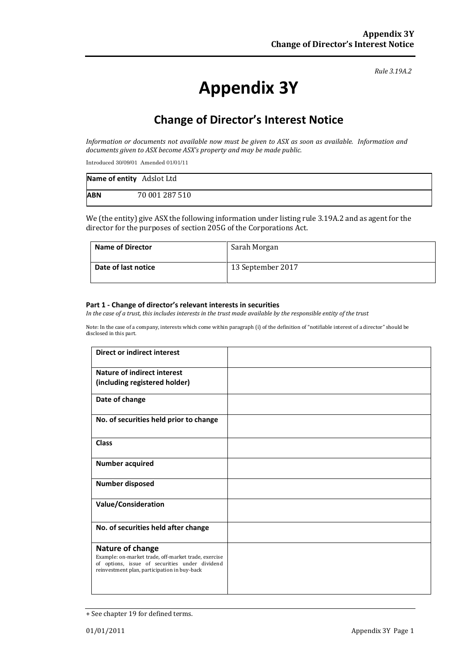*Rule 3.19A.2*

# **Appendix 3Y**

## **Change of Director's Interest Notice**

*Information or documents not available now must be given to ASX as soon as available. Information and documents given to ASX become ASX's property and may be made public.*

Introduced 30/09/01 Amended 01/01/11

| Name of entity Adslot Ltd |                |
|---------------------------|----------------|
| <b>ABN</b>                | 70 001 287 510 |

We (the entity) give ASX the following information under listing rule 3.19A.2 and as agent for the director for the purposes of section 205G of the Corporations Act.

| <b>Name of Director</b> | Sarah Morgan      |
|-------------------------|-------------------|
| Date of last notice     | 13 September 2017 |

#### **Part 1 - Change of director's relevant interests in securities**

*In the case of a trust, this includes interests in the trust made available by the responsible entity of the trust*

Note: In the case of a company, interests which come within paragraph (i) of the definition of "notifiable interest of a director" should be disclosed in this part.

| <b>Direct or indirect interest</b>                                                                                                                     |  |
|--------------------------------------------------------------------------------------------------------------------------------------------------------|--|
| <b>Nature of indirect interest</b>                                                                                                                     |  |
| (including registered holder)                                                                                                                          |  |
| Date of change                                                                                                                                         |  |
| No. of securities held prior to change                                                                                                                 |  |
| <b>Class</b>                                                                                                                                           |  |
| <b>Number acquired</b>                                                                                                                                 |  |
| <b>Number disposed</b>                                                                                                                                 |  |
| <b>Value/Consideration</b>                                                                                                                             |  |
| No. of securities held after change                                                                                                                    |  |
| Nature of change                                                                                                                                       |  |
| Example: on-market trade, off-market trade, exercise<br>of options, issue of securities under dividend<br>reinvestment plan, participation in buy-back |  |
|                                                                                                                                                        |  |

<sup>+</sup> See chapter 19 for defined terms.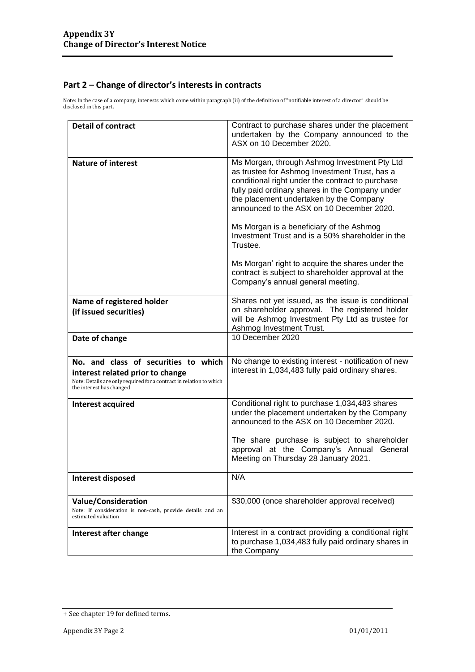#### **Part 2 – Change of director's interests in contracts**

Note: In the case of a company, interests which come within paragraph (ii) of the definition of "notifiable interest of a director" should be disclosed in this part.

| <b>Detail of contract</b>                                                                       | Contract to purchase shares under the placement<br>undertaken by the Company announced to the<br>ASX on 10 December 2020.                                                                                                                                                                    |
|-------------------------------------------------------------------------------------------------|----------------------------------------------------------------------------------------------------------------------------------------------------------------------------------------------------------------------------------------------------------------------------------------------|
| <b>Nature of interest</b>                                                                       | Ms Morgan, through Ashmog Investment Pty Ltd<br>as trustee for Ashmog Investment Trust, has a<br>conditional right under the contract to purchase<br>fully paid ordinary shares in the Company under<br>the placement undertaken by the Company<br>announced to the ASX on 10 December 2020. |
|                                                                                                 | Ms Morgan is a beneficiary of the Ashmog<br>Investment Trust and is a 50% shareholder in the<br>Trustee.                                                                                                                                                                                     |
|                                                                                                 | Ms Morgan' right to acquire the shares under the<br>contract is subject to shareholder approval at the<br>Company's annual general meeting.                                                                                                                                                  |
| Name of registered holder                                                                       | Shares not yet issued, as the issue is conditional                                                                                                                                                                                                                                           |
| (if issued securities)                                                                          | on shareholder approval. The registered holder<br>will be Ashmog Investment Pty Ltd as trustee for<br>Ashmog Investment Trust.                                                                                                                                                               |
| Date of change                                                                                  | 10 December 2020                                                                                                                                                                                                                                                                             |
| No. and class of securities to which                                                            | No change to existing interest - notification of new                                                                                                                                                                                                                                         |
| interest related prior to change                                                                | interest in 1,034,483 fully paid ordinary shares.                                                                                                                                                                                                                                            |
| Note: Details are only required for a contract in relation to which<br>the interest has changed |                                                                                                                                                                                                                                                                                              |
| Interest acquired                                                                               | Conditional right to purchase 1,034,483 shares<br>under the placement undertaken by the Company<br>announced to the ASX on 10 December 2020.                                                                                                                                                 |
|                                                                                                 | The share purchase is subject to shareholder<br>approval at the Company's Annual General<br>Meeting on Thursday 28 January 2021.                                                                                                                                                             |
| Interest disposed                                                                               | N/A                                                                                                                                                                                                                                                                                          |
| <b>Value/Consideration</b>                                                                      | \$30,000 (once shareholder approval received)                                                                                                                                                                                                                                                |
| Note: If consideration is non-cash, provide details and an<br>estimated valuation               |                                                                                                                                                                                                                                                                                              |
| Interest after change                                                                           | Interest in a contract providing a conditional right<br>to purchase 1,034,483 fully paid ordinary shares in<br>the Company                                                                                                                                                                   |

<sup>+</sup> See chapter 19 for defined terms.